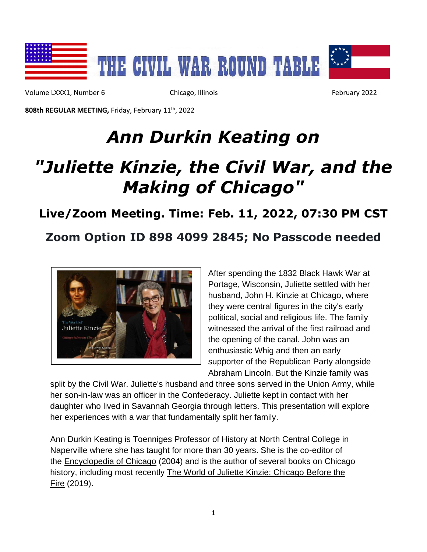

Volume LXXX1, Number 6 Chicago, Illinois February 2022

**808th REGULAR MEETING,** Friday, February 11 th, 2022

# *Ann Durkin Keating on*

# *"Juliette Kinzie, the Civil War, and the Making of Chicago"*

### **Live/Zoom Meeting. Time: Feb. 11, 2022, 07:30 PM CST**

## **Zoom Option ID 898 4099 2845; No Passcode needed**



After spending the 1832 Black Hawk War at Portage, Wisconsin, Juliette settled with her husband, John H. Kinzie at Chicago, where they were central figures in the city's early political, social and religious life. The family witnessed the arrival of the first railroad and the opening of the canal. John was an enthusiastic Whig and then an early supporter of the Republican Party alongside Abraham Lincoln. But the Kinzie family was

split by the Civil War. Juliette's husband and three sons served in the Union Army, while her son-in-law was an officer in the Confederacy. Juliette kept in contact with her daughter who lived in Savannah Georgia through letters. This presentation will explore her experiences with a war that fundamentally split her family.

Ann Durkin Keating is Toenniges Professor of History at North Central College in Naperville where she has taught for more than 30 years. She is the co-editor of the Encyclopedia of Chicago (2004) and is the author of several books on Chicago history, including most recently The World of Juliette Kinzie: Chicago Before the Fire (2019).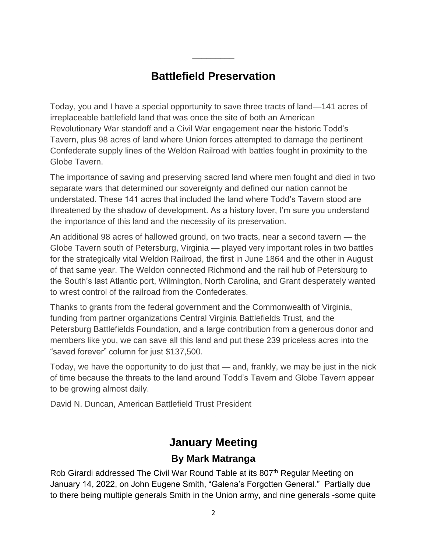## **Battlefield Preservation**

**\_\_\_\_\_\_\_\_\_**

Today, you and I have a special opportunity to save three tracts of land—141 acres of irreplaceable battlefield land that was once the site of both an American Revolutionary War standoff and a Civil War engagement near the historic Todd's Tavern, plus 98 acres of land where Union forces attempted to damage the pertinent Confederate supply lines of the Weldon Railroad with battles fought in proximity to the Globe Tavern.

The importance of saving and preserving sacred land where men fought and died in two separate wars that determined our sovereignty and defined our nation cannot be understated. These 141 acres that included the land where Todd's Tavern stood are threatened by the shadow of development. As a history lover, I'm sure you understand the importance of this land and the necessity of its preservation.

An additional 98 acres of hallowed ground, on two tracts, near a second tavern — the Globe Tavern south of Petersburg, Virginia — played very important roles in two battles for the strategically vital Weldon Railroad, the first in June 1864 and the other in August of that same year. The Weldon connected Richmond and the rail hub of Petersburg to the South's last Atlantic port, Wilmington, North Carolina, and Grant desperately wanted to wrest control of the railroad from the Confederates.

Thanks to grants from the federal government and the Commonwealth of Virginia, funding from partner organizations Central Virginia Battlefields Trust, and the Petersburg Battlefields Foundation, and a large contribution from a generous donor and members like you, we can save all this land and put these 239 priceless acres into the "saved forever" column for just \$137,500.

Today, we have the opportunity to do just that — and, frankly, we may be just in the nick of time because the threats to the land around Todd's Tavern and Globe Tavern appear to be growing almost daily.

David N. Duncan, American Battlefield Trust President

## **January Meeting**

**\_\_\_\_\_\_\_\_\_**

#### **By Mark Matranga**

Rob Girardi addressed The Civil War Round Table at its 807<sup>th</sup> Regular Meeting on January 14, 2022, on John Eugene Smith, "Galena's Forgotten General." Partially due to there being multiple generals Smith in the Union army, and nine generals -some quite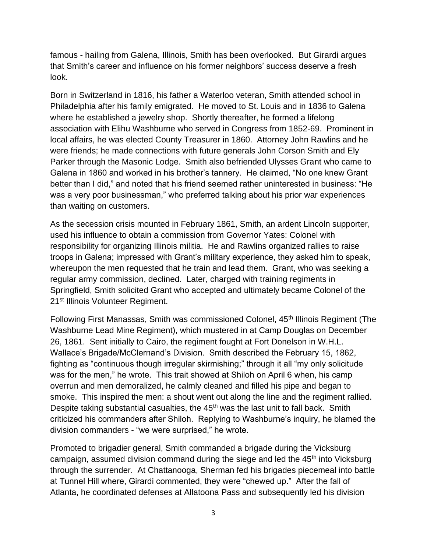famous - hailing from Galena, Illinois, Smith has been overlooked. But Girardi argues that Smith's career and influence on his former neighbors' success deserve a fresh look.

Born in Switzerland in 1816, his father a Waterloo veteran, Smith attended school in Philadelphia after his family emigrated. He moved to St. Louis and in 1836 to Galena where he established a jewelry shop. Shortly thereafter, he formed a lifelong association with Elihu Washburne who served in Congress from 1852-69. Prominent in local affairs, he was elected County Treasurer in 1860. Attorney John Rawlins and he were friends; he made connections with future generals John Corson Smith and Ely Parker through the Masonic Lodge. Smith also befriended Ulysses Grant who came to Galena in 1860 and worked in his brother's tannery. He claimed, "No one knew Grant better than I did," and noted that his friend seemed rather uninterested in business: "He was a very poor businessman," who preferred talking about his prior war experiences than waiting on customers.

As the secession crisis mounted in February 1861, Smith, an ardent Lincoln supporter, used his influence to obtain a commission from Governor Yates: Colonel with responsibility for organizing Illinois militia. He and Rawlins organized rallies to raise troops in Galena; impressed with Grant's military experience, they asked him to speak, whereupon the men requested that he train and lead them. Grant, who was seeking a regular army commission, declined. Later, charged with training regiments in Springfield, Smith solicited Grant who accepted and ultimately became Colonel of the 21<sup>st</sup> Illinois Volunteer Regiment.

Following First Manassas, Smith was commissioned Colonel, 45<sup>th</sup> Illinois Regiment (The Washburne Lead Mine Regiment), which mustered in at Camp Douglas on December 26, 1861. Sent initially to Cairo, the regiment fought at Fort Donelson in W.H.L. Wallace's Brigade/McClernand's Division. Smith described the February 15, 1862, fighting as "continuous though irregular skirmishing;" through it all "my only solicitude was for the men," he wrote. This trait showed at Shiloh on April 6 when, his camp overrun and men demoralized, he calmly cleaned and filled his pipe and began to smoke. This inspired the men: a shout went out along the line and the regiment rallied. Despite taking substantial casualties, the  $45<sup>th</sup>$  was the last unit to fall back. Smith criticized his commanders after Shiloh. Replying to Washburne's inquiry, he blamed the division commanders - "we were surprised," he wrote.

Promoted to brigadier general, Smith commanded a brigade during the Vicksburg campaign, assumed division command during the siege and led the 45<sup>th</sup> into Vicksburg through the surrender. At Chattanooga, Sherman fed his brigades piecemeal into battle at Tunnel Hill where, Girardi commented, they were "chewed up." After the fall of Atlanta, he coordinated defenses at Allatoona Pass and subsequently led his division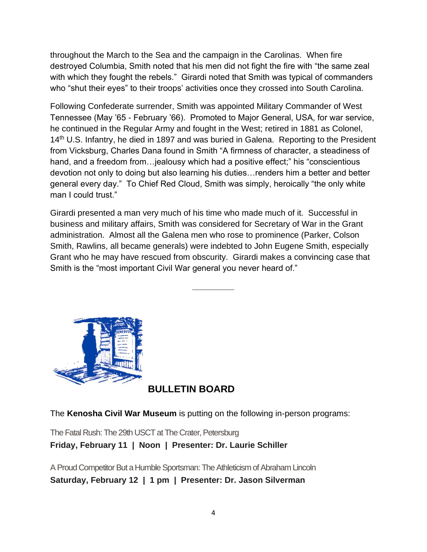throughout the March to the Sea and the campaign in the Carolinas. When fire destroyed Columbia, Smith noted that his men did not fight the fire with "the same zeal with which they fought the rebels." Girardi noted that Smith was typical of commanders who "shut their eyes" to their troops' activities once they crossed into South Carolina.

Following Confederate surrender, Smith was appointed Military Commander of West Tennessee (May '65 - February '66). Promoted to Major General, USA, for war service, he continued in the Regular Army and fought in the West; retired in 1881 as Colonel, 14<sup>th</sup> U.S. Infantry, he died in 1897 and was buried in Galena. Reporting to the President from Vicksburg, Charles Dana found in Smith "A firmness of character, a steadiness of hand, and a freedom from…jealousy which had a positive effect;" his "conscientious devotion not only to doing but also learning his duties…renders him a better and better general every day." To Chief Red Cloud, Smith was simply, heroically "the only white man I could trust."

Girardi presented a man very much of his time who made much of it. Successful in business and military affairs, Smith was considered for Secretary of War in the Grant administration. Almost all the Galena men who rose to prominence (Parker, Colson Smith, Rawlins, all became generals) were indebted to John Eugene Smith, especially Grant who he may have rescued from obscurity. Girardi makes a convincing case that Smith is the "most important Civil War general you never heard of."

**\_\_\_\_\_\_\_\_\_**



#### **BULLETIN BOARD**

The **Kenosha Civil War Museum** is putting on the following in-person programs:

The Fatal Rush: The 29th USCT at The Crater, Petersburg **Friday, February 11 | Noon | Presenter: Dr. Laurie Schiller**

A Proud Competitor But a Humble Sportsman: The Athleticism of Abraham Lincoln **Saturday, February 12 | 1 pm | Presenter: Dr. Jason Silverman**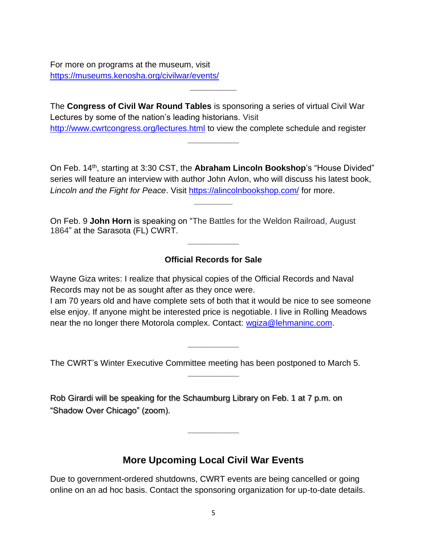For more on programs at the museum, visit <https://museums.kenosha.org/civilwar/events/>

The **Congress of Civil War Round Tables** is sponsoring a series of virtual Civil War Lectures by some of the nation's leading historians. Visit <http://www.cwrtcongress.org/lectures.html> to view the complete schedule and register

**\_\_\_\_\_\_\_\_\_\_**

On Feb. 14th, starting at 3:30 CST, the **Abraham Lincoln Bookshop**'s "House Divided" series will feature an interview with author John Avlon, who will discuss his latest book, Lincoln and the Fight for Peace. Visit<https://alincolnbookshop.com/> for more.

**\_\_\_\_\_\_\_\_\_**

**\_\_\_\_\_\_\_\_\_\_\_**

On Feb. 9 **John Horn** is speaking on "The Battles for the Weldon Railroad, August 1864" at the Sarasota (FL) CWRT. **\_\_\_\_\_\_\_\_\_\_\_**

#### **Official Records for Sale**

Wayne Giza writes: I realize that physical copies of the Official Records and Naval Records may not be as sought after as they once were.

I am 70 years old and have complete sets of both that it would be nice to see someone else enjoy. If anyone might be interested price is negotiable. I live in Rolling Meadows near the no longer there Motorola complex. Contact: [wgiza@lehmaninc.com.](mailto:wgiza@lehmaninc.com)

**\_\_\_\_\_\_\_\_\_\_\_**

**\_\_\_\_\_\_\_\_\_\_\_**

The CWRT's Winter Executive Committee meeting has been postponed to March 5.

Rob Girardi will be speaking for the Schaumburg Library on Feb. 1 at 7 p.m. on "Shadow Over Chicago" (zoom).

#### **More Upcoming Local Civil War Events**

**\_\_\_\_\_\_\_\_\_\_\_**

Due to government-ordered shutdowns, CWRT events are being cancelled or going online on an ad hoc basis. Contact the sponsoring organization for up-to-date details.